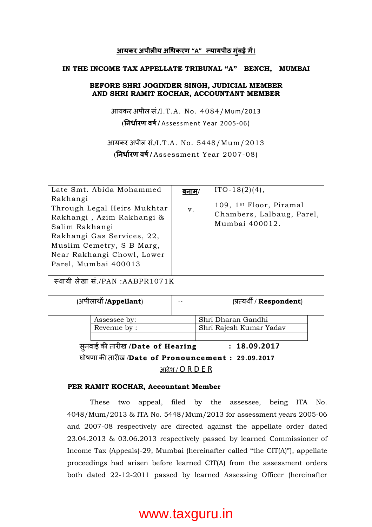## <u>आयकर अपीलीय अधिकरण "A" न्यायपीठ मुंबई में।</u>

#### IN THE INCOME TAX APPELLATE TRIBUNAL "A" BENCH, MUMBAI

### BEFORE SHRI JOGINDER SINGH, JUDICIAL MEMBER AND SHRI RAMIT KOCHAR, ACCOUNTANT MEMBER

आयकर अपील सं./I.T.A. No. 4084/Mum/2013 **(**नधारण वष **/** Assessment Year 2005-06)

आयकर अपील सं./I.T.A. No. 5448/Mum/2013 **(**नधारण वष **/** Assessment Year 2007-08)

| Late Smt. Abida Mohammed<br>Rakhangi<br>Through Legal Heirs Mukhtar<br>Rakhangi, Azim Rakhangi &<br>Salim Rakhangi<br>Rakhangi Gas Services, 22, | <u>बनाम/</u><br>V <sub>1</sub> |  | $ITO-18(2)(4),$<br>109, 1 <sup>st</sup> Floor, Piramal<br>Chambers, Lalbaug, Parel,<br>Mumbai 400012. |  |  |
|--------------------------------------------------------------------------------------------------------------------------------------------------|--------------------------------|--|-------------------------------------------------------------------------------------------------------|--|--|
| Muslim Cemetry, S B Marg,                                                                                                                        |                                |  |                                                                                                       |  |  |
| Near Rakhangi Chowl, Lower                                                                                                                       |                                |  |                                                                                                       |  |  |
| Parel, Mumbai 400013                                                                                                                             |                                |  |                                                                                                       |  |  |
|                                                                                                                                                  |                                |  |                                                                                                       |  |  |
| स्थायी लेखा सं./PAN :AABPR1071K                                                                                                                  |                                |  |                                                                                                       |  |  |
|                                                                                                                                                  |                                |  |                                                                                                       |  |  |
| (अपीलार्थी / <b>Appellant</b> )                                                                                                                  |                                |  | (प्रत्यर्थी / <b>Respondent</b> )                                                                     |  |  |
|                                                                                                                                                  |                                |  |                                                                                                       |  |  |
| Assessee by:                                                                                                                                     |                                |  | Shri Dharan Gandhi                                                                                    |  |  |
| Revenue by :                                                                                                                                     |                                |  | Shri Rajesh Kumar Yadav                                                                               |  |  |
|                                                                                                                                                  |                                |  |                                                                                                       |  |  |
| स् <b>नवाई की तारीख</b> /Date of Hearing<br>: 18.09.2017                                                                                         |                                |  |                                                                                                       |  |  |
| घोषणा की तारीख /Date of Pronouncement: 29.09.2017                                                                                                |                                |  |                                                                                                       |  |  |
| आदेश / O R D E R                                                                                                                                 |                                |  |                                                                                                       |  |  |

### PER RAMIT KOCHAR, Accountant Member

 These two appeal, filed by the assessee, being ITA No. 4048/Mum/2013 & ITA No. 5448/Mum/2013 for assessment years 2005-06 and 2007-08 respectively are directed against the appellate order dated 23.04.2013 & 03.06.2013 respectively passed by learned Commissioner of Income Tax (Appeals)-29, Mumbai (hereinafter called "the CIT(A)"), appellate proceedings had arisen before learned CIT(A) from the assessment orders both dated 22-12-2011 passed by learned Assessing Officer (hereinafter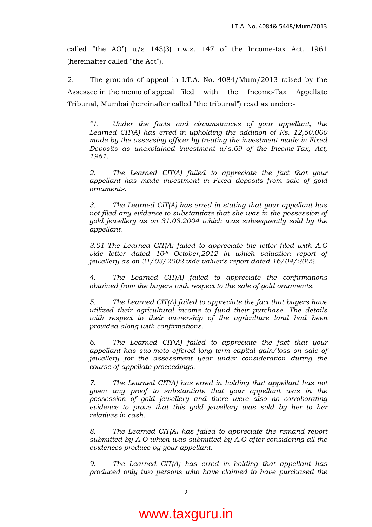called "the AO")  $u/s$  143(3) r.w.s. 147 of the Income-tax Act, 1961 (hereinafter called "the Act").

 2. The grounds of appeal in I.T.A. No. 4084/Mum/2013 raised by the Assessee in the memo of appeal filed with the Income-Tax Appellate Tribunal, Mumbai (hereinafter called "the tribunal") read as under:-

"1. Under the facts and circumstances of your appellant, the Learned CIT(A) has erred in upholding the addition of Rs. 12,50,000 made by the assessing officer by treating the investment made in Fixed Deposits as unexplained investment  $u/s.69$  of the Income-Tax, Act, 1961.

 2. The Learned CIT(A) failed to appreciate the fact that your appellant has made investment in Fixed deposits from sale of gold ornaments.

3. The Learned CIT(A) has erred in stating that your appellant has not filed any evidence to substantiate that she was in the possession of gold jewellery as on 31.03.2004 which was subsequently sold by the appellant.

3.01 The Learned CIT(A) failed to appreciate the letter filed with A.O vide letter dated  $10<sup>th</sup>$  October, 2012 in which valuation report of jewellery as on 31/03/2002 vide valuer's report dated 16/04/2002.

4. The Learned CIT(A) failed to appreciate the confirmations obtained from the buyers with respect to the sale of gold ornaments.

5. The Learned CIT(A) failed to appreciate the fact that buyers have utilized their agricultural income to fund their purchase. The details with respect to their ownership of the agriculture land had been provided along with confirmations.

6. The Learned CIT(A) failed to appreciate the fact that your appellant has suo-moto offered long term capital gain/loss on sale of jewellery for the assessment year under consideration during the course of appellate proceedings.

7. The Learned CIT(A) has erred in holding that appellant has not given any proof to substantiate that your appellant was in the possession of gold jewellery and there were also no corroborating evidence to prove that this gold jewellery was sold by her to her relatives in cash.

 8. The Learned CIT(A) has failed to appreciate the remand report submitted by A.O which was submitted by A.O after considering all the evidences produce by your appellant.

 9. The Learned CIT(A) has erred in holding that appellant has produced only two persons who have claimed to have purchased the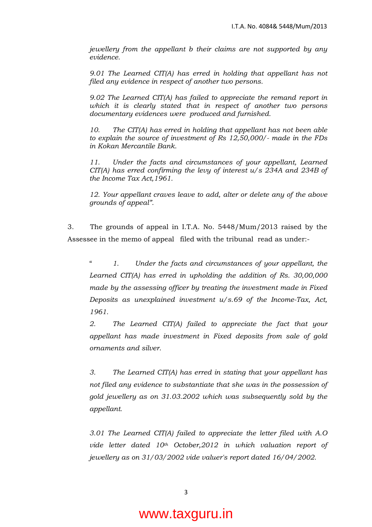jewellery from the appellant b their claims are not supported by any evidence.

9.01 The Learned CIT(A) has erred in holding that appellant has not filed any evidence in respect of another two persons.

9.02 The Learned CIT(A) has failed to appreciate the remand report in which it is clearly stated that in respect of another two persons documentary evidences were produced and furnished.

10. The CIT(A) has erred in holding that appellant has not been able to explain the source of investment of Rs 12,50,000/- made in the FDs in Kokan Mercantile Bank.

11. Under the facts and circumstances of your appellant, Learned CIT(A) has erred confirming the levy of interest  $u/s$  234A and 234B of the Income Tax Act,1961.

12. Your appellant craves leave to add, alter or delete any of the above grounds of appeal".

 3. The grounds of appeal in I.T.A. No. 5448/Mum/2013 raised by the Assessee in the memo of appeal filed with the tribunal read as under:-

" 1. Under the facts and circumstances of your appellant, the Learned CIT(A) has erred in upholding the addition of Rs. 30,00,000 made by the assessing officer by treating the investment made in Fixed Deposits as unexplained investment u/s.69 of the Income-Tax, Act, 1961.

2. The Learned CIT(A) failed to appreciate the fact that your appellant has made investment in Fixed deposits from sale of gold ornaments and silver.

3. The Learned CIT(A) has erred in stating that your appellant has not filed any evidence to substantiate that she was in the possession of gold jewellery as on 31.03.2002 which was subsequently sold by the appellant.

3.01 The Learned CIT(A) failed to appreciate the letter filed with A.O vide letter dated  $10<sup>th</sup>$  October, 2012 in which valuation report of jewellery as on 31/03/2002 vide valuer's report dated 16/04/2002.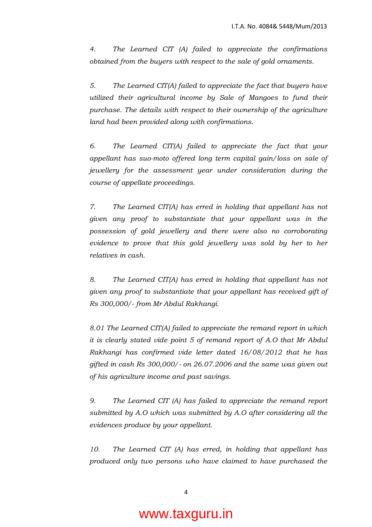4. The Learned CIT (A) failed to appreciate the confirmations obtained from the buyers with respect to the sale of gold ornaments.

5. The Learned CIT(A) failed to appreciate the fact that buyers have utilized their agricultural income by Sale of Mangoes to fund their purchase. The details with respect to their ownership of the agriculture land had been provided along with confirmations.

6. The Learned CIT(A) failed to appreciate the fact that your appellant has suo-moto offered long term capital gain/loss on sale of jewellery for the assessment year under consideration during the course of appellate proceedings.

7. The Learned CIT(A) has erred in holding that appellant has not given any proof to substantiate that your appellant was in the possession of gold jewellery and there were also no corroborating evidence to prove that this gold jewellery was sold by her to her relatives in cash.

8. The Learned CIT(A) has erred in holding that appellant has not given any proof to substantiate that your appellant has received gift of Rs 300,000/- from Mr Abdul Rakhangi.

8.01 The Learned CIT(A) failed to appreciate the remand report in which it is clearly stated vide point 5 of remand report of A.O that Mr Abdul Rakhangi has confirmed vide letter dated 16/08/2012 that he has gifted in cash Rs 300,000/- on 26.07.2006 and the same was given out of his agriculture income and past savings.

9. The Learned CIT (A) has failed to appreciate the remand report submitted by A.O which was submitted by A.O after considering all the evidences produce by your appellant.

10. The Learned CIT (A) has erred, in holding that appellant has produced only two persons who have claimed to have purchased the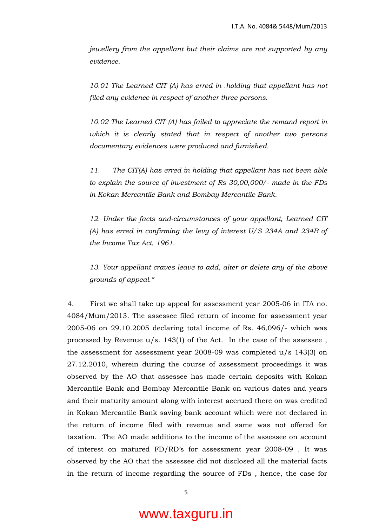jewellery from the appellant but their claims are not supported by any evidence.

10.01 The Learned CIT (A) has erred in .holding that appellant has not filed any evidence in respect of another three persons.

10.02 The Learned CIT (A) has failed to appreciate the remand report in which it is clearly stated that in respect of another two persons documentary evidences were produced and furnished.

11. The CIT(A) has erred in holding that appellant has not been able to explain the source of investment of Rs 30,00,000/- made in the FDs in Kokan Mercantile Bank and Bombay Mercantile Bank.

12. Under the facts and-circumstances of your appellant, Learned CIT (A) has erred in confirming the levy of interest U/S 234A and 234B of the Income Tax Act, 1961.

13. Your appellant craves leave to add, alter or delete any of the above grounds of appeal."

4. First we shall take up appeal for assessment year 2005-06 in ITA no. 4084/Mum/2013. The assessee filed return of income for assessment year 2005-06 on 29.10.2005 declaring total income of Rs. 46,096/- which was processed by Revenue u/s. 143(1) of the Act. In the case of the assessee , the assessment for assessment year  $2008-09$  was completed  $u/s$  143(3) on 27.12.2010, wherein during the course of assessment proceedings it was observed by the AO that assessee has made certain deposits with Kokan Mercantile Bank and Bombay Mercantile Bank on various dates and years and their maturity amount along with interest accrued there on was credited in Kokan Mercantile Bank saving bank account which were not declared in the return of income filed with revenue and same was not offered for taxation. The AO made additions to the income of the assessee on account of interest on matured FD/RD's for assessment year 2008-09 . It was observed by the AO that the assessee did not disclosed all the material facts in the return of income regarding the source of FDs , hence, the case for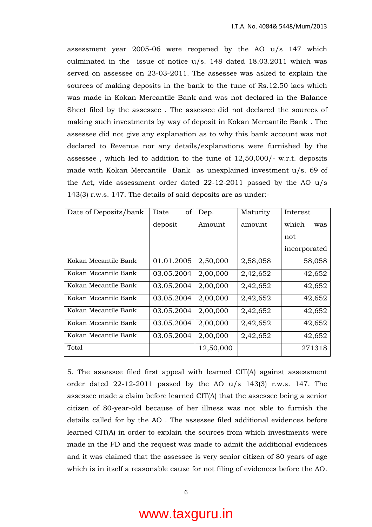assessment year 2005-06 were reopened by the AO u/s 147 which culminated in the issue of notice u/s. 148 dated 18.03.2011 which was served on assessee on 23-03-2011. The assessee was asked to explain the sources of making deposits in the bank to the tune of Rs.12.50 lacs which was made in Kokan Mercantile Bank and was not declared in the Balance Sheet filed by the assessee . The assessee did not declared the sources of making such investments by way of deposit in Kokan Mercantile Bank . The assessee did not give any explanation as to why this bank account was not declared to Revenue nor any details/explanations were furnished by the assessee , which led to addition to the tune of 12,50,000/- w.r.t. deposits made with Kokan Mercantile Bank as unexplained investment u/s. 69 of the Act, vide assessment order dated 22-12-2011 passed by the AO u/s 143(3) r.w.s. 147. The details of said deposits are as under:-

| Date of Deposits/bank | οf<br>Date | Dep.      | Maturity | Interest     |
|-----------------------|------------|-----------|----------|--------------|
|                       | deposit    | Amount    | amount   | which<br>was |
|                       |            |           |          | not          |
|                       |            |           |          | incorporated |
| Kokan Mecantile Bank  | 01.01.2005 | 2,50,000  | 2,58,058 | 58,058       |
| Kokan Mecantile Bank  | 03.05.2004 | 2,00,000  | 2,42,652 | 42,652       |
| Kokan Mecantile Bank  | 03.05.2004 | 2,00,000  | 2,42,652 | 42,652       |
| Kokan Mecantile Bank  | 03.05.2004 | 2,00,000  | 2,42,652 | 42,652       |
| Kokan Mecantile Bank  | 03.05.2004 | 2,00,000  | 2,42,652 | 42,652       |
| Kokan Mecantile Bank  | 03.05.2004 | 2,00,000  | 2,42,652 | 42,652       |
| Kokan Mecantile Bank  | 03.05.2004 | 2,00,000  | 2,42,652 | 42,652       |
| Total                 |            | 12,50,000 |          | 271318       |

5. The assessee filed first appeal with learned CIT(A) against assessment order dated  $22-12-2011$  passed by the AO u/s 143(3) r.w.s. 147. The assessee made a claim before learned CIT(A) that the assessee being a senior citizen of 80-year-old because of her illness was not able to furnish the details called for by the AO . The assessee filed additional evidences before learned CIT(A) in order to explain the sources from which investments were made in the FD and the request was made to admit the additional evidences and it was claimed that the assessee is very senior citizen of 80 years of age which is in itself a reasonable cause for not filing of evidences before the AO.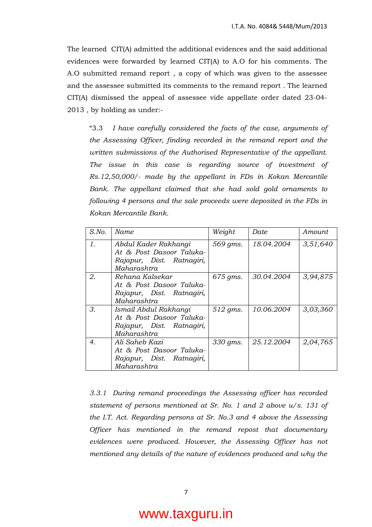The learned CIT(A) admitted the additional evidences and the said additional evidences were forwarded by learned CIT(A) to A.O for his comments. The A.O submitted remand report , a copy of which was given to the assessee and the assessee submitted its comments to the remand report . The learned CIT(A) dismissed the appeal of assessee vide appellate order dated 23-04- 2013 , by holding as under:-

 "3.3 I have carefully considered the facts of the case, arguments of the Assessing Officer, finding recorded in the remand report and the written submissions of the Authorised Representative of the appellant. The issue in this case is regarding source of investment of Rs.12,50,000/- made by the appellant in FDs in Kokan Mercantile Bank. The appellant claimed that she had sold gold ornaments to following 4 persons and the sale proceeds were deposited in the FDs in Kokan Mercantile Bank.

| $S$ .No. | Name                                                                                          | Weight   | Date       | Amount   |
|----------|-----------------------------------------------------------------------------------------------|----------|------------|----------|
| 1.       | Abdul Kader Rakhangi<br>At & Post Dasoor Taluka-<br>Rajapur, Dist. Ratnagiri,<br>Maharashtra  | 569 gms. | 18.04.2004 | 3,51,640 |
| 2.       | Rehana Kalsekar<br>At & Post Dasoor Taluka-<br>Rajapur, Dist. Ratnagiri,<br>Maharashtra       | 675 gms. | 30.04.2004 | 3,94,875 |
| 3.       | Ismail Abdul Rakhangi<br>At & Post Dasoor Taluka-<br>Rajapur, Dist. Ratnagiri,<br>Maharashtra | 512 gms. | 10.06.2004 | 3,03,360 |
| 4.       | Ali Saheb Kazi<br>At & Post Dasoor Taluka-<br>Rajapur, Dist. Ratnagiri,<br>Maharashtra        | 330 gms. | 25.12.2004 | 2,04,765 |

3.3.1 During remand proceedings the Assessing officer has recorded statement of persons mentioned at Sr. No. 1 and 2 above  $u/s$ . 131 of the I.T. Act. Regarding persons at Sr. No.3 and 4 above the Assessing Officer has mentioned in the remand repost that documentary evidences were produced. However, the Assessing Officer has not mentioned any details of the nature of evidences produced and why the

#### 7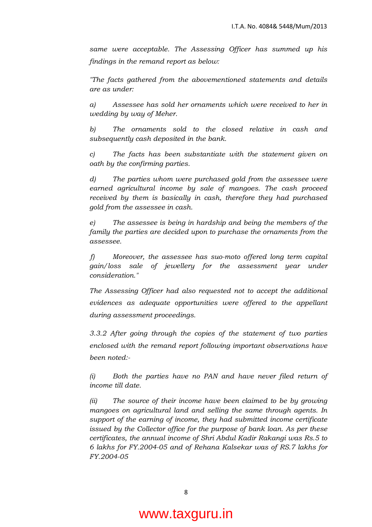same were acceptable. The Assessing Officer has summed up his findings in the remand report as below:

"The facts gathered from the abovementioned statements and details are as under:

a) Assessee has sold her ornaments which were received to her in wedding by way of Meher.

b) The ornaments sold to the closed relative in cash and subsequently cash deposited in the bank.

c) The facts has been substantiate with the statement given on oath by the confirming parties.

d) The parties whom were purchased gold from the assessee were earned agricultural income by sale of mangoes. The cash proceed received by them is basically in cash, therefore they had purchased gold from the assessee in cash.

e) The assessee is being in hardship and being the members of the family the parties are decided upon to purchase the ornaments from the assessee.

 f) Moreover, the assessee has suo-moto offered long term capital gain/loss sale of jewellery for the assessment year under consideration."

The Assessing Officer had also requested not to accept the additional evidences as adequate opportunities were offered to the appellant during assessment proceedings.

3.3.2 After going through the copies of the statement of two parties enclosed with the remand report following important observations have been noted:-

(i) Both the parties have no PAN and have never filed return of income till date.

(ii) The source of their income have been claimed to be by growing mangoes on agricultural land and selling the same through agents. In support of the earning of income, they had submitted income certificate issued by the Collector office for the purpose of bank loan. As per these certificates, the annual income of Shri Abdul Kadir Rakangi was Rs.5 to 6 lakhs for FY.2004-05 and of Rehana Kalsekar was of RS.7 lakhs for FY.2004-05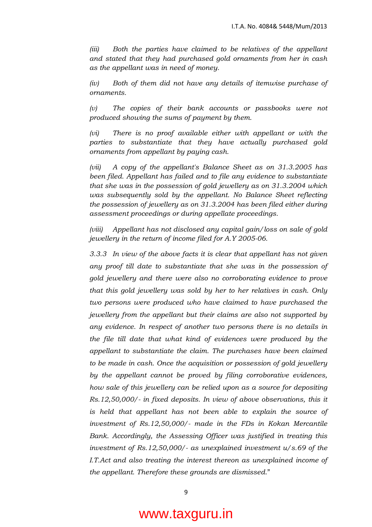(iii) Both the parties have claimed to be relatives of the appellant and stated that they had purchased gold ornaments from her in cash as the appellant was in need of money.

(iv) Both of them did not have any details of itemwise purchase of ornaments.

(v) The copies of their bank accounts or passbooks were not produced showing the sums of payment by them.

(vi) There is no proof available either with appellant or with the parties to substantiate that they have actually purchased gold ornaments from appellant by paying cash.

(vii) A copy of the appellant's Balance Sheet as on 31.3.2005 has been filed. Appellant has failed and to file any evidence to substantiate that she was in the possession of gold jewellery as on 31.3.2004 which was subsequently sold by the appellant. No Balance Sheet reflecting the possession of jewellery as on 31.3.2004 has been filed either during assessment proceedings or during appellate proceedings.

(viii) Appellant has not disclosed any capital gain/loss on sale of gold jewellery in the return of income filed for A.Y 2005-06.

3.3.3 In view of the above facts it is clear that appellant has not given any proof till date to substantiate that she was in the possession of gold jewellery and there were also no corroborating evidence to prove that this gold jewellery was sold by her to her relatives in cash. Only two persons were produced who have claimed to have purchased the jewellery from the appellant but their claims are also not supported by any evidence. In respect of another two persons there is no details in the file till date that what kind of evidences were produced by the appellant to substantiate the claim. The purchases have been claimed to be made in cash. Once the acquisition or possession of gold jewellery by the appellant cannot be proved by filing corroborative evidences, how sale of this jewellery can be relied upon as a source for depositing Rs.12,50,000/- in fixed deposits. In view of above observations, this it is held that appellant has not been able to explain the source of investment of Rs.12,50,000/- made in the FDs in Kokan Mercantile Bank. Accordingly, the Assessing Officer was justified in treating this investment of Rs.12,50,000/- as unexplained investment u/s.69 of the I.T.Act and also treating the interest thereon as unexplained income of the appellant. Therefore these grounds are dismissed."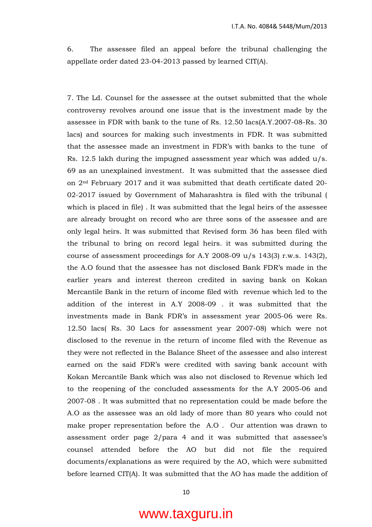6. The assessee filed an appeal before the tribunal challenging the appellate order dated 23-04-2013 passed by learned CIT(A).

7. The Ld. Counsel for the assessee at the outset submitted that the whole controversy revolves around one issue that is the investment made by the assessee in FDR with bank to the tune of Rs. 12.50 lacs(A.Y.2007-08-Rs. 30 lacs) and sources for making such investments in FDR. It was submitted that the assessee made an investment in FDR's with banks to the tune of Rs. 12.5 lakh during the impugned assessment year which was added  $u/s$ . 69 as an unexplained investment. It was submitted that the assessee died on 2nd February 2017 and it was submitted that death certificate dated 20- 02-2017 issued by Government of Maharashtra is filed with the tribunal ( which is placed in file) . It was submitted that the legal heirs of the assessee are already brought on record who are three sons of the assessee and are only legal heirs. It was submitted that Revised form 36 has been filed with the tribunal to bring on record legal heirs. it was submitted during the course of assessment proceedings for A.Y 2008-09  $u/s$  143(3) r.w.s. 143(2), the A.O found that the assessee has not disclosed Bank FDR's made in the earlier years and interest thereon credited in saving bank on Kokan Mercantile Bank in the return of income filed with revenue which led to the addition of the interest in A.Y 2008-09 . it was submitted that the investments made in Bank FDR's in assessment year 2005-06 were Rs. 12.50 lacs( Rs. 30 Lacs for assessment year 2007-08) which were not disclosed to the revenue in the return of income filed with the Revenue as they were not reflected in the Balance Sheet of the assessee and also interest earned on the said FDR's were credited with saving bank account with Kokan Mercantile Bank which was also not disclosed to Revenue which led to the reopening of the concluded assessments for the A.Y 2005-06 and 2007-08 . It was submitted that no representation could be made before the A.O as the assessee was an old lady of more than 80 years who could not make proper representation before the A.O . Our attention was drawn to assessment order page 2/para 4 and it was submitted that assessee's counsel attended before the AO but did not file the required documents/explanations as were required by the AO, which were submitted before learned CIT(A). It was submitted that the AO has made the addition of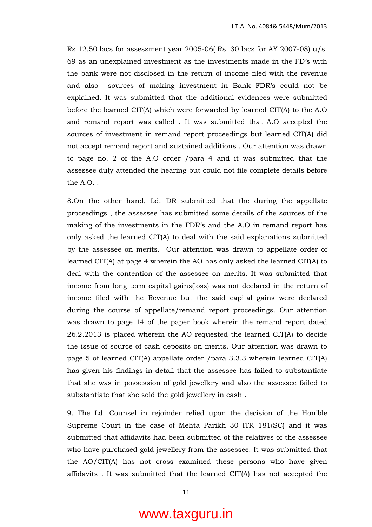Rs 12.50 lacs for assessment year 2005-06(Rs. 30 lacs for AY 2007-08)  $u/s$ . 69 as an unexplained investment as the investments made in the FD's with the bank were not disclosed in the return of income filed with the revenue and also sources of making investment in Bank FDR's could not be explained. It was submitted that the additional evidences were submitted before the learned CIT(A) which were forwarded by learned CIT(A) to the A.O and remand report was called . It was submitted that A.O accepted the sources of investment in remand report proceedings but learned CIT(A) did not accept remand report and sustained additions . Our attention was drawn to page no. 2 of the A.O order /para 4 and it was submitted that the assessee duly attended the hearing but could not file complete details before the  $AO$ .

8.On the other hand, Ld. DR submitted that the during the appellate proceedings , the assessee has submitted some details of the sources of the making of the investments in the FDR's and the A.O in remand report has only asked the learned CIT(A) to deal with the said explanations submitted by the assessee on merits. Our attention was drawn to appellate order of learned CIT(A) at page 4 wherein the AO has only asked the learned CIT(A) to deal with the contention of the assessee on merits. It was submitted that income from long term capital gains(loss) was not declared in the return of income filed with the Revenue but the said capital gains were declared during the course of appellate/remand report proceedings. Our attention was drawn to page 14 of the paper book wherein the remand report dated 26.2.2013 is placed wherein the AO requested the learned CIT(A) to decide the issue of source of cash deposits on merits. Our attention was drawn to page 5 of learned CIT(A) appellate order /para 3.3.3 wherein learned CIT(A) has given his findings in detail that the assessee has failed to substantiate that she was in possession of gold jewellery and also the assessee failed to substantiate that she sold the gold jewellery in cash .

9. The Ld. Counsel in rejoinder relied upon the decision of the Hon'ble Supreme Court in the case of Mehta Parikh 30 ITR 181(SC) and it was submitted that affidavits had been submitted of the relatives of the assessee who have purchased gold jewellery from the assessee. It was submitted that the AO/CIT(A) has not cross examined these persons who have given affidavits . It was submitted that the learned CIT(A) has not accepted the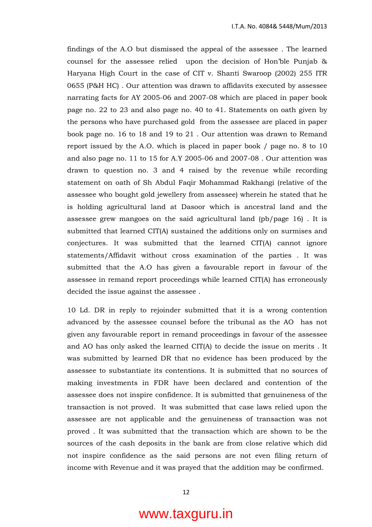findings of the A.O but dismissed the appeal of the assessee . The learned counsel for the assessee relied upon the decision of Hon'ble Punjab & Haryana High Court in the case of CIT v. Shanti Swaroop (2002) 255 ITR 0655 (P&H HC) . Our attention was drawn to affidavits executed by assessee narrating facts for AY 2005-06 and 2007-08 which are placed in paper book page no. 22 to 23 and also page no. 40 to 41. Statements on oath given by the persons who have purchased gold from the assessee are placed in paper book page no. 16 to 18 and 19 to 21 . Our attention was drawn to Remand report issued by the A.O. which is placed in paper book / page no. 8 to 10 and also page no. 11 to 15 for A.Y 2005-06 and 2007-08 . Our attention was drawn to question no. 3 and 4 raised by the revenue while recording statement on oath of Sh Abdul Faqir Mohammad Rakhangi (relative of the assessee who bought gold jewellery from assessee) wherein he stated that he is holding agricultural land at Dasoor which is ancestral land and the assessee grew mangoes on the said agricultural land (pb/page 16) . It is submitted that learned CIT(A) sustained the additions only on surmises and conjectures. It was submitted that the learned CIT(A) cannot ignore statements/Affidavit without cross examination of the parties . It was submitted that the A.O has given a favourable report in favour of the assessee in remand report proceedings while learned CIT(A) has erroneously decided the issue against the assessee .

10 Ld. DR in reply to rejoinder submitted that it is a wrong contention advanced by the assessee counsel before the tribunal as the AO has not given any favourable report in remand proceedings in favour of the assessee and AO has only asked the learned CIT(A) to decide the issue on merits . It was submitted by learned DR that no evidence has been produced by the assessee to substantiate its contentions. It is submitted that no sources of making investments in FDR have been declared and contention of the assessee does not inspire confidence. It is submitted that genuineness of the transaction is not proved. It was submitted that case laws relied upon the assessee are not applicable and the genuineness of transaction was not proved . It was submitted that the transaction which are shown to be the sources of the cash deposits in the bank are from close relative which did not inspire confidence as the said persons are not even filing return of income with Revenue and it was prayed that the addition may be confirmed.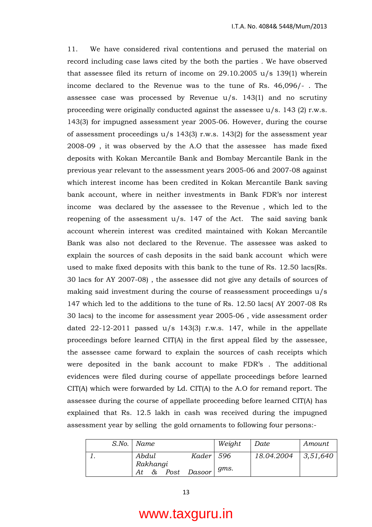11. We have considered rival contentions and perused the material on record including case laws cited by the both the parties . We have observed that assessee filed its return of income on  $29.10.2005$  u/s 139(1) wherein income declared to the Revenue was to the tune of Rs. 46,096/- . The assessee case was processed by Revenue  $u/s$ . 143(1) and no scrutiny proceeding were originally conducted against the assessee u/s. 143 (2) r.w.s. 143(3) for impugned assessment year 2005-06. However, during the course of assessment proceedings  $u/s$  143(3) r.w.s. 143(2) for the assessment year 2008-09 , it was observed by the A.O that the assessee has made fixed deposits with Kokan Mercantile Bank and Bombay Mercantile Bank in the previous year relevant to the assessment years 2005-06 and 2007-08 against which interest income has been credited in Kokan Mercantile Bank saving bank account, where in neither investments in Bank FDR's nor interest income was declared by the assessee to the Revenue , which led to the reopening of the assessment u/s. 147 of the Act. The said saving bank account wherein interest was credited maintained with Kokan Mercantile Bank was also not declared to the Revenue. The assessee was asked to explain the sources of cash deposits in the said bank account which were used to make fixed deposits with this bank to the tune of Rs. 12.50 lacs(Rs. 30 lacs for AY 2007-08) , the assessee did not give any details of sources of making said investment during the course of reassessment proceedings u/s 147 which led to the additions to the tune of Rs. 12.50 lacs( AY 2007-08 Rs 30 lacs) to the income for assessment year 2005-06 , vide assessment order dated 22-12-2011 passed  $u/s$  143(3) r.w.s. 147, while in the appellate proceedings before learned CIT(A) in the first appeal filed by the assessee, the assessee came forward to explain the sources of cash receipts which were deposited in the bank account to make FDR's . The additional evidences were filed during course of appellate proceedings before learned CIT(A) which were forwarded by Ld. CIT(A) to the A.O for remand report. The assessee during the course of appellate proceeding before learned CIT(A) has explained that Rs. 12.5 lakh in cash was received during the impugned assessment year by selling the gold ornaments to following four persons:-

|  | S.No.   Name                       |             | Weight | Date       | Amount   |
|--|------------------------------------|-------------|--------|------------|----------|
|  | Abdul                              | Kader   596 |        | 18.04.2004 | 3,51,640 |
|  | Rakhangi<br>Post<br>$\alpha$<br>At | Dasoor      | gms.   |            |          |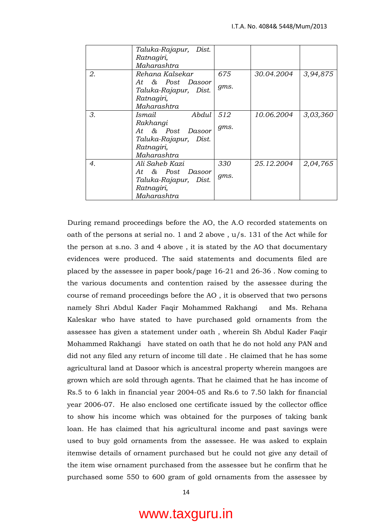|    | Taluka-Rajapur, Dist.<br>Ratnagiri, |      |            |          |
|----|-------------------------------------|------|------------|----------|
|    | Maharashtra                         |      |            |          |
| 2. | Rehana Kalsekar                     | 675  | 30.04.2004 | 3,94,875 |
|    | At & Post Dasoor                    |      |            |          |
|    | Taluka-Rajapur, Dist.               | gms. |            |          |
|    | Ratnagiri,                          |      |            |          |
|    | Maharashtra                         |      |            |          |
| 3. | Abdul<br>Ismail                     | 512  | 10.06.2004 | 3,03,360 |
|    | Rakhangi                            |      |            |          |
|    | At & Post Dasoor                    | gms. |            |          |
|    | Taluka-Rajapur, Dist.               |      |            |          |
|    | Ratnagiri,                          |      |            |          |
|    | Maharashtra                         |      |            |          |
| 4. | Ali Saheb Kazi                      | 330  | 25.12.2004 | 2,04,765 |
|    | At & Post Dasoor                    |      |            |          |
|    | Taluka-Rajapur, Dist.               | gms. |            |          |
|    | Ratnagiri,                          |      |            |          |
|    | Maharashtra                         |      |            |          |

 During remand proceedings before the AO, the A.O recorded statements on oath of the persons at serial no. 1 and 2 above , u/s. 131 of the Act while for the person at s.no. 3 and 4 above , it is stated by the AO that documentary evidences were produced. The said statements and documents filed are placed by the assessee in paper book/page 16-21 and 26-36 . Now coming to the various documents and contention raised by the assessee during the course of remand proceedings before the AO , it is observed that two persons namely Shri Abdul Kader Faqir Mohammed Rakhangi and Ms. Rehana Kaleskar who have stated to have purchased gold ornaments from the assessee has given a statement under oath , wherein Sh Abdul Kader Faqir Mohammed Rakhangi have stated on oath that he do not hold any PAN and did not any filed any return of income till date . He claimed that he has some agricultural land at Dasoor which is ancestral property wherein mangoes are grown which are sold through agents. That he claimed that he has income of Rs.5 to 6 lakh in financial year 2004-05 and Rs.6 to 7.50 lakh for financial year 2006-07. He also enclosed one certificate issued by the collector office to show his income which was obtained for the purposes of taking bank loan. He has claimed that his agricultural income and past savings were used to buy gold ornaments from the assessee. He was asked to explain itemwise details of ornament purchased but he could not give any detail of the item wise ornament purchased from the assessee but he confirm that he purchased some 550 to 600 gram of gold ornaments from the assessee by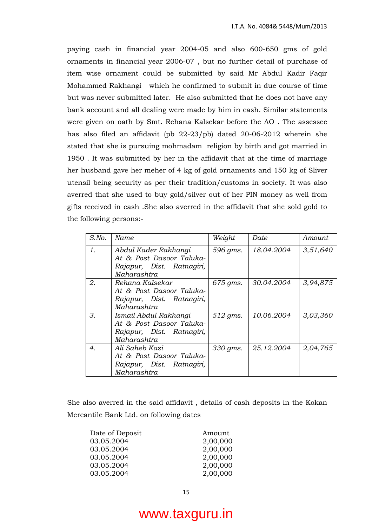paying cash in financial year 2004-05 and also 600-650 gms of gold ornaments in financial year 2006-07 , but no further detail of purchase of item wise ornament could be submitted by said Mr Abdul Kadir Faqir Mohammed Rakhangi which he confirmed to submit in due course of time but was never submitted later. He also submitted that he does not have any bank account and all dealing were made by him in cash. Similar statements were given on oath by Smt. Rehana Kalsekar before the AO . The assessee has also filed an affidavit (pb 22-23/pb) dated 20-06-2012 wherein she stated that she is pursuing mohmadam religion by birth and got married in 1950 . It was submitted by her in the affidavit that at the time of marriage her husband gave her meher of 4 kg of gold ornaments and 150 kg of Sliver utensil being security as per their tradition/customs in society. It was also averred that she used to buy gold/silver out of her PIN money as well from gifts received in cash .She also averred in the affidavit that she sold gold to the following persons:-

| $S$ .No. | Name                                                                                          | Weight   | Date       | Amount   |
|----------|-----------------------------------------------------------------------------------------------|----------|------------|----------|
| 1.       | Abdul Kader Rakhangi<br>At & Post Dasoor Taluka-<br>Rajapur, Dist. Ratnagiri,<br>Maharashtra  | 596 gms. | 18.04.2004 | 3,51,640 |
| 2.       | Rehana Kalsekar<br>At & Post Dasoor Taluka-<br>Rajapur, Dist. Ratnagiri,<br>Maharashtra       | 675 gms. | 30.04.2004 | 3,94,875 |
| 3.       | Ismail Abdul Rakhangi<br>At & Post Dasoor Taluka-<br>Rajapur, Dist. Ratnagiri,<br>Maharashtra | 512 gms. | 10.06.2004 | 3,03,360 |
| 4.       | Ali Saheb Kazi<br>At & Post Dasoor Taluka-<br>Rajapur, Dist. Ratnagiri,<br>Maharashtra        | 330 gms. | 25.12.2004 | 2,04,765 |

She also averred in the said affidavit , details of cash deposits in the Kokan Mercantile Bank Ltd. on following dates

| Amount   |
|----------|
| 2,00,000 |
| 2,00,000 |
| 2,00,000 |
| 2,00,000 |
| 2,00,000 |
|          |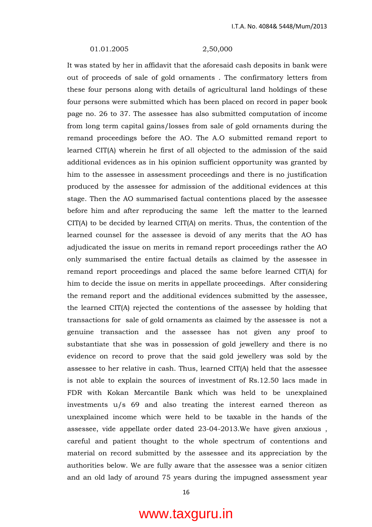#### 01.01.2005 2,50,000

It was stated by her in affidavit that the aforesaid cash deposits in bank were out of proceeds of sale of gold ornaments . The confirmatory letters from these four persons along with details of agricultural land holdings of these four persons were submitted which has been placed on record in paper book page no. 26 to 37. The assessee has also submitted computation of income from long term capital gains/losses from sale of gold ornaments during the remand proceedings before the AO. The A.O submitted remand report to learned CIT(A) wherein he first of all objected to the admission of the said additional evidences as in his opinion sufficient opportunity was granted by him to the assessee in assessment proceedings and there is no justification produced by the assessee for admission of the additional evidences at this stage. Then the AO summarised factual contentions placed by the assessee before him and after reproducing the same left the matter to the learned CIT(A) to be decided by learned CIT(A) on merits. Thus, the contention of the learned counsel for the assessee is devoid of any merits that the AO has adjudicated the issue on merits in remand report proceedings rather the AO only summarised the entire factual details as claimed by the assessee in remand report proceedings and placed the same before learned CIT(A) for him to decide the issue on merits in appellate proceedings. After considering the remand report and the additional evidences submitted by the assessee, the learned CIT(A) rejected the contentions of the assessee by holding that transactions for sale of gold ornaments as claimed by the assessee is not a genuine transaction and the assessee has not given any proof to substantiate that she was in possession of gold jewellery and there is no evidence on record to prove that the said gold jewellery was sold by the assessee to her relative in cash. Thus, learned CIT(A) held that the assessee is not able to explain the sources of investment of Rs.12.50 lacs made in FDR with Kokan Mercantile Bank which was held to be unexplained investments u/s 69 and also treating the interest earned thereon as unexplained income which were held to be taxable in the hands of the assessee, vide appellate order dated 23-04-2013.We have given anxious , careful and patient thought to the whole spectrum of contentions and material on record submitted by the assessee and its appreciation by the authorities below. We are fully aware that the assessee was a senior citizen and an old lady of around 75 years during the impugned assessment year

16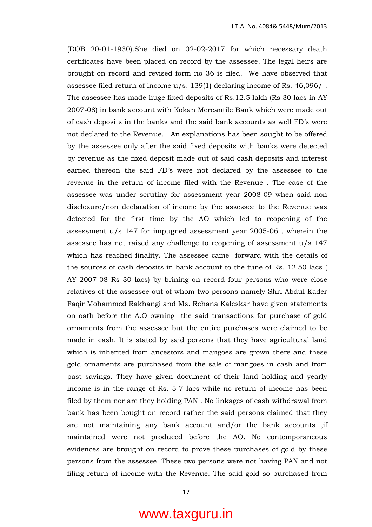(DOB 20-01-1930).She died on 02-02-2017 for which necessary death certificates have been placed on record by the assessee. The legal heirs are brought on record and revised form no 36 is filed. We have observed that assessee filed return of income u/s. 139(1) declaring income of Rs. 46,096/-. The assessee has made huge fixed deposits of Rs.12.5 lakh (Rs 30 lacs in AY 2007-08) in bank account with Kokan Mercantile Bank which were made out of cash deposits in the banks and the said bank accounts as well FD's were not declared to the Revenue. An explanations has been sought to be offered by the assessee only after the said fixed deposits with banks were detected by revenue as the fixed deposit made out of said cash deposits and interest earned thereon the said FD's were not declared by the assessee to the revenue in the return of income filed with the Revenue . The case of the assessee was under scrutiny for assessment year 2008-09 when said non disclosure/non declaration of income by the assessee to the Revenue was detected for the first time by the AO which led to reopening of the assessment u/s 147 for impugned assessment year 2005-06 , wherein the assessee has not raised any challenge to reopening of assessment u/s 147 which has reached finality. The assessee came forward with the details of the sources of cash deposits in bank account to the tune of Rs. 12.50 lacs ( AY 2007-08 Rs 30 lacs) by brining on record four persons who were close relatives of the assessee out of whom two persons namely Shri Abdul Kader Faqir Mohammed Rakhangi and Ms. Rehana Kaleskar have given statements on oath before the A.O owning the said transactions for purchase of gold ornaments from the assessee but the entire purchases were claimed to be made in cash. It is stated by said persons that they have agricultural land which is inherited from ancestors and mangoes are grown there and these gold ornaments are purchased from the sale of mangoes in cash and from past savings. They have given document of their land holding and yearly income is in the range of Rs. 5-7 lacs while no return of income has been filed by them nor are they holding PAN . No linkages of cash withdrawal from bank has been bought on record rather the said persons claimed that they are not maintaining any bank account and/or the bank accounts ,if maintained were not produced before the AO. No contemporaneous evidences are brought on record to prove these purchases of gold by these persons from the assessee. These two persons were not having PAN and not filing return of income with the Revenue. The said gold so purchased from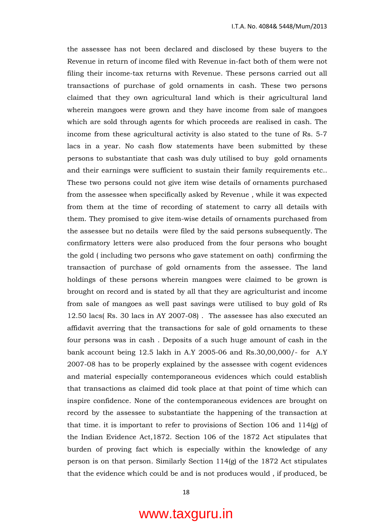the assessee has not been declared and disclosed by these buyers to the Revenue in return of income filed with Revenue in-fact both of them were not filing their income-tax returns with Revenue. These persons carried out all transactions of purchase of gold ornaments in cash. These two persons claimed that they own agricultural land which is their agricultural land wherein mangoes were grown and they have income from sale of mangoes which are sold through agents for which proceeds are realised in cash. The income from these agricultural activity is also stated to the tune of Rs. 5-7 lacs in a year. No cash flow statements have been submitted by these persons to substantiate that cash was duly utilised to buy gold ornaments and their earnings were sufficient to sustain their family requirements etc.. These two persons could not give item wise details of ornaments purchased from the assessee when specifically asked by Revenue , while it was expected from them at the time of recording of statement to carry all details with them. They promised to give item-wise details of ornaments purchased from the assessee but no details were filed by the said persons subsequently. The confirmatory letters were also produced from the four persons who bought the gold ( including two persons who gave statement on oath) confirming the transaction of purchase of gold ornaments from the assessee. The land holdings of these persons wherein mangoes were claimed to be grown is brought on record and is stated by all that they are agriculturist and income from sale of mangoes as well past savings were utilised to buy gold of Rs 12.50 lacs( Rs. 30 lacs in AY 2007-08) . The assessee has also executed an affidavit averring that the transactions for sale of gold ornaments to these four persons was in cash . Deposits of a such huge amount of cash in the bank account being 12.5 lakh in A.Y 2005-06 and Rs.30,00,000/- for A.Y 2007-08 has to be properly explained by the assessee with cogent evidences and material especially contemporaneous evidences which could establish that transactions as claimed did took place at that point of time which can inspire confidence. None of the contemporaneous evidences are brought on record by the assessee to substantiate the happening of the transaction at that time. it is important to refer to provisions of Section 106 and 114(g) of the Indian Evidence Act,1872. Section 106 of the 1872 Act stipulates that burden of proving fact which is especially within the knowledge of any person is on that person. Similarly Section 114(g) of the 1872 Act stipulates that the evidence which could be and is not produces would , if produced, be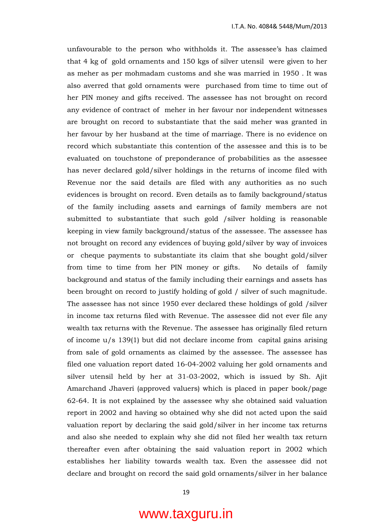unfavourable to the person who withholds it. The assessee's has claimed that 4 kg of gold ornaments and 150 kgs of silver utensil were given to her as meher as per mohmadam customs and she was married in 1950 . It was also averred that gold ornaments were purchased from time to time out of her PIN money and gifts received. The assessee has not brought on record any evidence of contract of meher in her favour nor independent witnesses are brought on record to substantiate that the said meher was granted in her favour by her husband at the time of marriage. There is no evidence on record which substantiate this contention of the assessee and this is to be evaluated on touchstone of preponderance of probabilities as the assessee has never declared gold/silver holdings in the returns of income filed with Revenue nor the said details are filed with any authorities as no such evidences is brought on record. Even details as to family background/status of the family including assets and earnings of family members are not submitted to substantiate that such gold /silver holding is reasonable keeping in view family background/status of the assessee. The assessee has not brought on record any evidences of buying gold/silver by way of invoices or cheque payments to substantiate its claim that she bought gold/silver from time to time from her PIN money or gifts. No details of family background and status of the family including their earnings and assets has been brought on record to justify holding of gold / silver of such magnitude. The assessee has not since 1950 ever declared these holdings of gold /silver in income tax returns filed with Revenue. The assessee did not ever file any wealth tax returns with the Revenue. The assessee has originally filed return of income u/s 139(1) but did not declare income from capital gains arising from sale of gold ornaments as claimed by the assessee. The assessee has filed one valuation report dated 16-04-2002 valuing her gold ornaments and silver utensil held by her at 31-03-2002, which is issued by Sh. Ajit Amarchand Jhaveri (approved valuers) which is placed in paper book/page 62-64. It is not explained by the assessee why she obtained said valuation report in 2002 and having so obtained why she did not acted upon the said valuation report by declaring the said gold/silver in her income tax returns and also she needed to explain why she did not filed her wealth tax return thereafter even after obtaining the said valuation report in 2002 which establishes her liability towards wealth tax. Even the assessee did not declare and brought on record the said gold ornaments/silver in her balance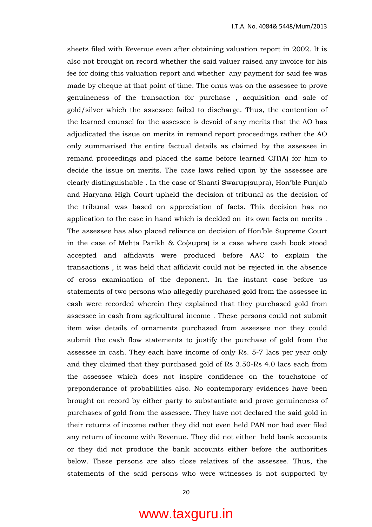sheets filed with Revenue even after obtaining valuation report in 2002. It is also not brought on record whether the said valuer raised any invoice for his fee for doing this valuation report and whether any payment for said fee was made by cheque at that point of time. The onus was on the assessee to prove genuineness of the transaction for purchase , acquisition and sale of gold/silver which the assessee failed to discharge. Thus, the contention of the learned counsel for the assessee is devoid of any merits that the AO has adjudicated the issue on merits in remand report proceedings rather the AO only summarised the entire factual details as claimed by the assessee in remand proceedings and placed the same before learned CIT(A) for him to decide the issue on merits. The case laws relied upon by the assessee are clearly distinguishable . In the case of Shanti Swarup(supra), Hon'ble Punjab and Haryana High Court upheld the decision of tribunal as the decision of the tribunal was based on appreciation of facts. This decision has no application to the case in hand which is decided on its own facts on merits . The assessee has also placed reliance on decision of Hon'ble Supreme Court in the case of Mehta Parikh & Co(supra) is a case where cash book stood accepted and affidavits were produced before AAC to explain the transactions , it was held that affidavit could not be rejected in the absence of cross examination of the deponent. In the instant case before us statements of two persons who allegedly purchased gold from the assessee in cash were recorded wherein they explained that they purchased gold from assessee in cash from agricultural income . These persons could not submit item wise details of ornaments purchased from assessee nor they could submit the cash flow statements to justify the purchase of gold from the assessee in cash. They each have income of only Rs. 5-7 lacs per year only and they claimed that they purchased gold of Rs 3.50-Rs 4.0 lacs each from the assessee which does not inspire confidence on the touchstone of preponderance of probabilities also. No contemporary evidences have been brought on record by either party to substantiate and prove genuineness of purchases of gold from the assessee. They have not declared the said gold in their returns of income rather they did not even held PAN nor had ever filed any return of income with Revenue. They did not either held bank accounts or they did not produce the bank accounts either before the authorities below. These persons are also close relatives of the assessee. Thus, the statements of the said persons who were witnesses is not supported by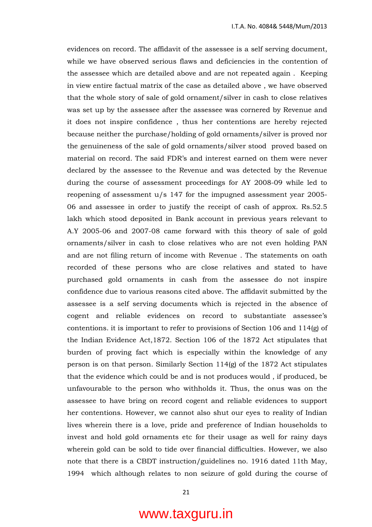evidences on record. The affidavit of the assessee is a self serving document, while we have observed serious flaws and deficiencies in the contention of the assessee which are detailed above and are not repeated again . Keeping in view entire factual matrix of the case as detailed above , we have observed that the whole story of sale of gold ornament/silver in cash to close relatives was set up by the assessee after the assessee was cornered by Revenue and it does not inspire confidence , thus her contentions are hereby rejected because neither the purchase/holding of gold ornaments/silver is proved nor the genuineness of the sale of gold ornaments/silver stood proved based on material on record. The said FDR's and interest earned on them were never declared by the assessee to the Revenue and was detected by the Revenue during the course of assessment proceedings for AY 2008-09 while led to reopening of assessment u/s 147 for the impugned assessment year 2005- 06 and assessee in order to justify the receipt of cash of approx. Rs.52.5 lakh which stood deposited in Bank account in previous years relevant to A.Y 2005-06 and 2007-08 came forward with this theory of sale of gold ornaments/silver in cash to close relatives who are not even holding PAN and are not filing return of income with Revenue . The statements on oath recorded of these persons who are close relatives and stated to have purchased gold ornaments in cash from the assessee do not inspire confidence due to various reasons cited above. The affidavit submitted by the assessee is a self serving documents which is rejected in the absence of cogent and reliable evidences on record to substantiate assessee's contentions. it is important to refer to provisions of Section 106 and 114(g) of the Indian Evidence Act,1872. Section 106 of the 1872 Act stipulates that burden of proving fact which is especially within the knowledge of any person is on that person. Similarly Section 114(g) of the 1872 Act stipulates that the evidence which could be and is not produces would , if produced, be unfavourable to the person who withholds it. Thus, the onus was on the assessee to have bring on record cogent and reliable evidences to support her contentions. However, we cannot also shut our eyes to reality of Indian lives wherein there is a love, pride and preference of Indian households to invest and hold gold ornaments etc for their usage as well for rainy days wherein gold can be sold to tide over financial difficulties. However, we also note that there is a CBDT instruction/guidelines no. 1916 dated 11th May, 1994 which although relates to non seizure of gold during the course of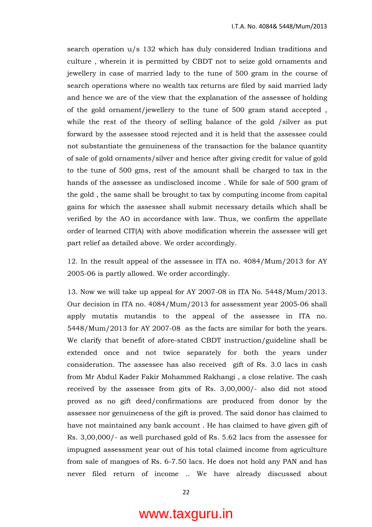search operation u/s 132 which has duly considered Indian traditions and culture , wherein it is permitted by CBDT not to seize gold ornaments and jewellery in case of married lady to the tune of 500 gram in the course of search operations where no wealth tax returns are filed by said married lady and hence we are of the view that the explanation of the assessee of holding of the gold ornament/jewellery to the tune of 500 gram stand accepted , while the rest of the theory of selling balance of the gold /silver as put forward by the assessee stood rejected and it is held that the assessee could not substantiate the genuineness of the transaction for the balance quantity of sale of gold ornaments/silver and hence after giving credit for value of gold to the tune of 500 gms, rest of the amount shall be charged to tax in the hands of the assessee as undisclosed income . While for sale of 500 gram of the gold , the same shall be brought to tax by computing income from capital gains for which the assessee shall submit necessary details which shall be verified by the AO in accordance with law. Thus, we confirm the appellate order of learned CIT(A) with above modification wherein the assessee will get part relief as detailed above. We order accordingly.

12. In the result appeal of the assessee in ITA no. 4084/Mum/2013 for AY 2005-06 is partly allowed. We order accordingly.

13. Now we will take up appeal for AY 2007-08 in ITA No. 5448/Mum/2013. Our decision in ITA no. 4084/Mum/2013 for assessment year 2005-06 shall apply mutatis mutandis to the appeal of the assessee in ITA no. 5448/Mum/2013 for AY 2007-08 as the facts are similar for both the years. We clarify that benefit of afore-stated CBDT instruction/guideline shall be extended once and not twice separately for both the years under consideration. The assessee has also received gift of Rs. 3.0 lacs in cash from Mr Abdul Kader Fakir Mohammed Rakhangi , a close relative. The cash received by the assessee from gits of Rs. 3,00,000/- also did not stood proved as no gift deed/confirmations are produced from donor by the assessee nor genuineness of the gift is proved. The said donor has claimed to have not maintained any bank account . He has claimed to have given gift of Rs. 3,00,000/- as well purchased gold of Rs. 5.62 lacs from the assessee for impugned assessment year out of his total claimed income from agriculture from sale of mangoes of Rs. 6-7.50 lacs. He does not hold any PAN and has never filed return of income .. We have already discussed about